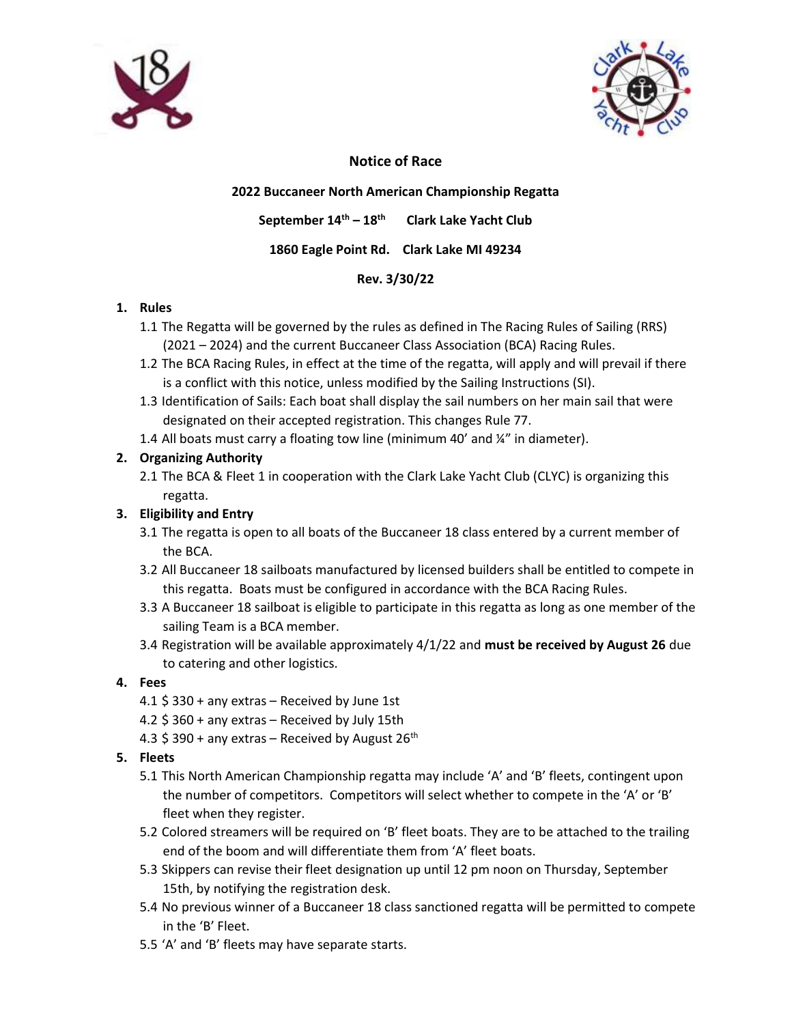



#### Notice of Race

2022 Buccaneer North American Championship Regatta

September  $14^{th} - 18^{th}$  Clark Lake Yacht Club

### 1860 Eagle Point Rd. Clark Lake MI 49234

## Rev. 3/30/22

## 1. Rules

- 1.1 The Regatta will be governed by the rules as defined in The Racing Rules of Sailing (RRS) (2021 – 2024) and the current Buccaneer Class Association (BCA) Racing Rules.
- 1.2 The BCA Racing Rules, in effect at the time of the regatta, will apply and will prevail if there is a conflict with this notice, unless modified by the Sailing Instructions (SI).
- 1.3 Identification of Sails: Each boat shall display the sail numbers on her main sail that were designated on their accepted registration. This changes Rule 77.
- 1.4 All boats must carry a floating tow line (minimum 40' and ¼" in diameter).

## 2. Organizing Authority

2.1 The BCA & Fleet 1 in cooperation with the Clark Lake Yacht Club (CLYC) is organizing this regatta.

# 3. Eligibility and Entry

- 3.1 The regatta is open to all boats of the Buccaneer 18 class entered by a current member of the BCA.
- 3.2 All Buccaneer 18 sailboats manufactured by licensed builders shall be entitled to compete in this regatta. Boats must be configured in accordance with the BCA Racing Rules.
- 3.3 A Buccaneer 18 sailboat is eligible to participate in this regatta as long as one member of the sailing Team is a BCA member.
- 3.4 Registration will be available approximately  $4/1/22$  and must be received by August 26 due to catering and other logistics.
- 4. Fees
	- 4.1 \$ 330 + any extras Received by June 1st
	- 4.2 \$ 360 + any extras Received by July 15th
	- 4.3  $$390 + any extras Received by August 26<sup>th</sup>$
- 5. Fleets
	- 5.1 This North American Championship regatta may include 'A' and 'B' fleets, contingent upon the number of competitors. Competitors will select whether to compete in the 'A' or 'B' fleet when they register.
	- 5.2 Colored streamers will be required on 'B' fleet boats. They are to be attached to the trailing end of the boom and will differentiate them from 'A' fleet boats.
	- 5.3 Skippers can revise their fleet designation up until 12 pm noon on Thursday, September 15th, by notifying the registration desk.
	- 5.4 No previous winner of a Buccaneer 18 class sanctioned regatta will be permitted to compete in the 'B' Fleet.
	- 5.5 'A' and 'B' fleets may have separate starts.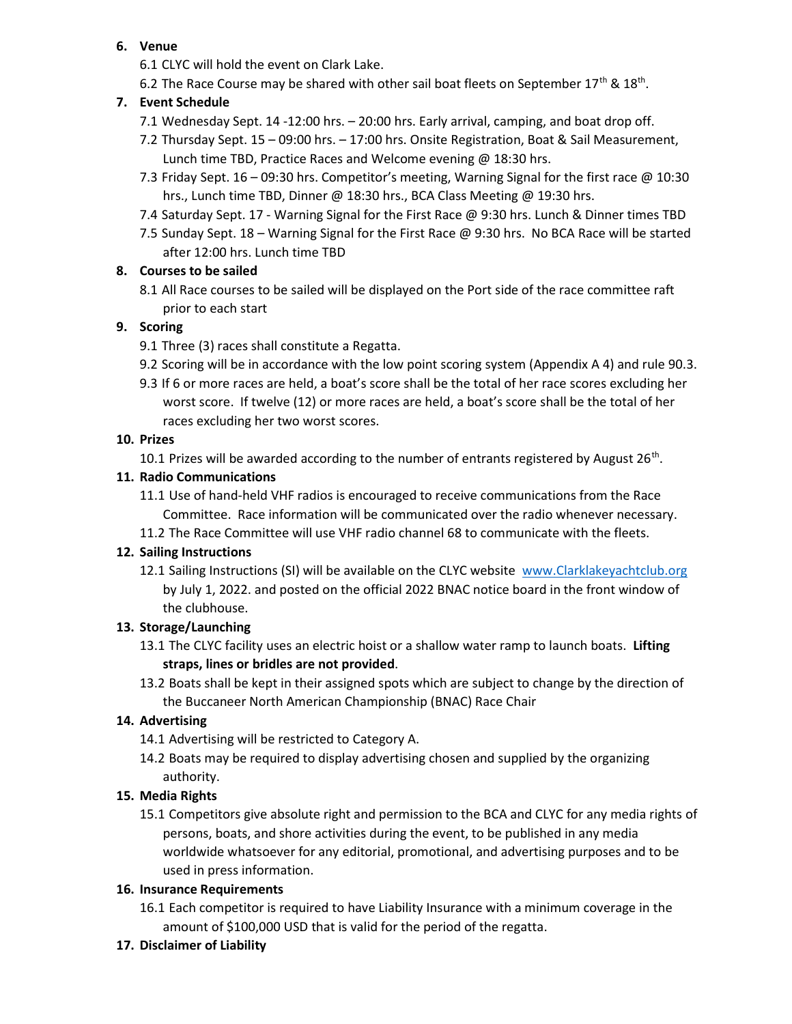#### 6. Venue

6.1 CLYC will hold the event on Clark Lake.

6.2 The Race Course may be shared with other sail boat fleets on September  $17<sup>th</sup>$  &  $18<sup>th</sup>$ .

### 7. Event Schedule

- 7.1 Wednesday Sept. 14 -12:00 hrs. 20:00 hrs. Early arrival, camping, and boat drop off.
- 7.2 Thursday Sept. 15 09:00 hrs. 17:00 hrs. Onsite Registration, Boat & Sail Measurement, Lunch time TBD, Practice Races and Welcome evening @ 18:30 hrs.
- 7.3 Friday Sept. 16 09:30 hrs. Competitor's meeting, Warning Signal for the first race @ 10:30 hrs., Lunch time TBD, Dinner @ 18:30 hrs., BCA Class Meeting @ 19:30 hrs.
- 7.4 Saturday Sept. 17 Warning Signal for the First Race @ 9:30 hrs. Lunch & Dinner times TBD
- 7.5 Sunday Sept. 18 Warning Signal for the First Race @ 9:30 hrs. No BCA Race will be started after 12:00 hrs. Lunch time TBD

### 8. Courses to be sailed

8.1 All Race courses to be sailed will be displayed on the Port side of the race committee raft prior to each start

## 9. Scoring

- 9.1 Three (3) races shall constitute a Regatta.
- 9.2 Scoring will be in accordance with the low point scoring system (Appendix A 4) and rule 90.3.
- 9.3 If 6 or more races are held, a boat's score shall be the total of her race scores excluding her worst score. If twelve (12) or more races are held, a boat's score shall be the total of her races excluding her two worst scores.

#### 10. Prizes

10.1 Prizes will be awarded according to the number of entrants registered by August  $26^{th}$ .

### 11. Radio Communications

- 11.1 Use of hand-held VHF radios is encouraged to receive communications from the Race Committee. Race information will be communicated over the radio whenever necessary.
- 11.2 The Race Committee will use VHF radio channel 68 to communicate with the fleets.

## 12. Sailing Instructions

12.1 Sailing Instructions (SI) will be available on the CLYC website www.Clarklakeyachtclub.org by July 1, 2022. and posted on the official 2022 BNAC notice board in the front window of the clubhouse.

## 13. Storage/Launching

- 13.1 The CLYC facility uses an electric hoist or a shallow water ramp to launch boats. Lifting straps, lines or bridles are not provided.
- 13.2 Boats shall be kept in their assigned spots which are subject to change by the direction of the Buccaneer North American Championship (BNAC) Race Chair

## 14. Advertising

- 14.1 Advertising will be restricted to Category A.
- 14.2 Boats may be required to display advertising chosen and supplied by the organizing authority.

## 15. Media Rights

15.1 Competitors give absolute right and permission to the BCA and CLYC for any media rights of persons, boats, and shore activities during the event, to be published in any media worldwide whatsoever for any editorial, promotional, and advertising purposes and to be used in press information.

#### 16. Insurance Requirements

16.1 Each competitor is required to have Liability Insurance with a minimum coverage in the amount of \$100,000 USD that is valid for the period of the regatta.

#### 17. Disclaimer of Liability